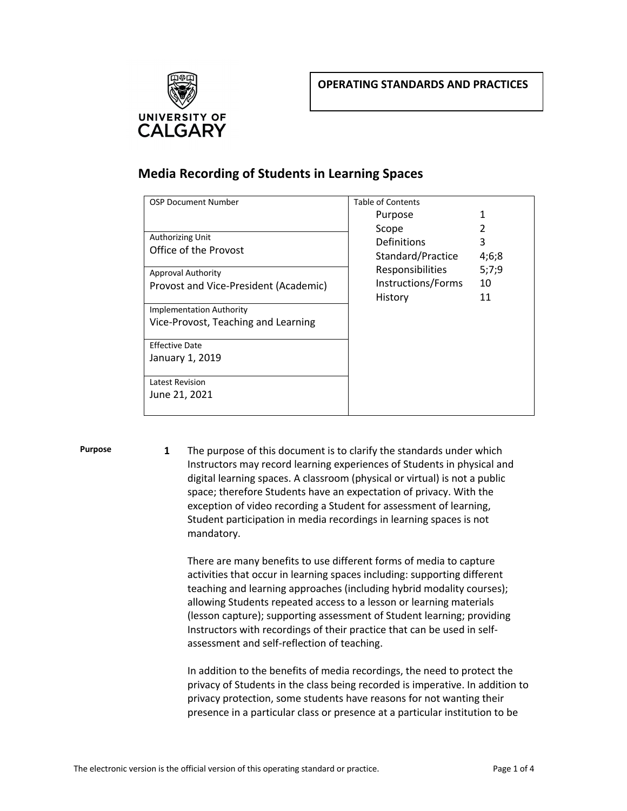

## **Media Recording of Students in Learning Spaces**

| <b>OSP Document Number</b>            | <b>Table of Contents</b> |       |
|---------------------------------------|--------------------------|-------|
|                                       | Purpose                  | 1     |
|                                       | Scope                    | 2     |
| Authorizing Unit                      | Definitions              | 3     |
| Office of the Provost                 | Standard/Practice        | 4;6;8 |
| <b>Approval Authority</b>             | <b>Responsibilities</b>  | 5;7;9 |
| Provost and Vice-President (Academic) | Instructions/Forms       | 10    |
|                                       | History                  | 11    |
| <b>Implementation Authority</b>       |                          |       |
| Vice-Provost, Teaching and Learning   |                          |       |
| <b>Effective Date</b>                 |                          |       |
|                                       |                          |       |
| January 1, 2019                       |                          |       |
| Latest Revision                       |                          |       |
| June 21, 2021                         |                          |       |
|                                       |                          |       |

**Purpose 1** The purpose of this document is to clarify the standards under which Instructors may record learning experiences of Students in physical and digital learning spaces. A classroom (physical or virtual) is not a public space; therefore Students have an expectation of privacy. With the exception of video recording a Student for assessment of learning, Student participation in media recordings in learning spaces is not mandatory.

> There are many benefits to use different forms of media to capture activities that occur in learning spaces including: supporting different teaching and learning approaches (including hybrid modality courses); allowing Students repeated access to a lesson or learning materials (lesson capture); supporting assessment of Student learning; providing Instructors with recordings of their practice that can be used in selfassessment and self-reflection of teaching.

In addition to the benefits of media recordings, the need to protect the privacy of Students in the class being recorded is imperative. In addition to privacy protection, some students have reasons for not wanting their presence in a particular class or presence at a particular institution to be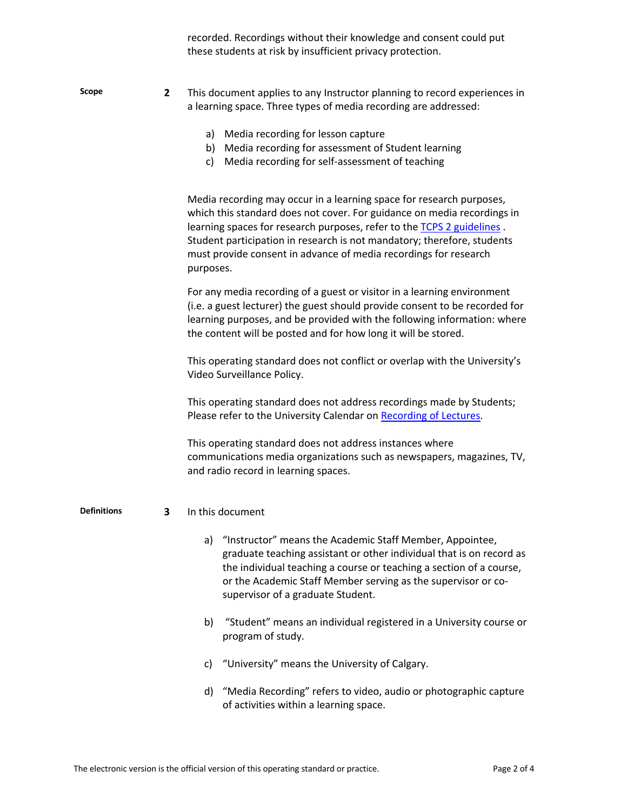|             |              | recorded. Recordings without their knowledge and consent could put<br>these students at risk by insufficient privacy protection.                                                                                                                                                                                                                                                      |
|-------------|--------------|---------------------------------------------------------------------------------------------------------------------------------------------------------------------------------------------------------------------------------------------------------------------------------------------------------------------------------------------------------------------------------------|
| Scope       | $\mathbf{2}$ | This document applies to any Instructor planning to record experiences in<br>a learning space. Three types of media recording are addressed:                                                                                                                                                                                                                                          |
|             |              | a) Media recording for lesson capture<br>b) Media recording for assessment of Student learning<br>Media recording for self-assessment of teaching<br>c)                                                                                                                                                                                                                               |
|             |              | Media recording may occur in a learning space for research purposes,<br>which this standard does not cover. For guidance on media recordings in<br>learning spaces for research purposes, refer to the TCPS 2 guidelines.<br>Student participation in research is not mandatory; therefore, students<br>must provide consent in advance of media recordings for research<br>purposes. |
|             |              | For any media recording of a guest or visitor in a learning environment<br>(i.e. a guest lecturer) the guest should provide consent to be recorded for<br>learning purposes, and be provided with the following information: where<br>the content will be posted and for how long it will be stored.                                                                                  |
|             |              | This operating standard does not conflict or overlap with the University's<br>Video Surveillance Policy.                                                                                                                                                                                                                                                                              |
|             |              | This operating standard does not address recordings made by Students;<br>Please refer to the University Calendar on Recording of Lectures.                                                                                                                                                                                                                                            |
|             |              | This operating standard does not address instances where<br>communications media organizations such as newspapers, magazines, TV,<br>and radio record in learning spaces.                                                                                                                                                                                                             |
| Definitions | 3            | In this document                                                                                                                                                                                                                                                                                                                                                                      |
|             |              | "Instructor" means the Academic Staff Member, Appointee,<br>a)<br>graduate teaching assistant or other individual that is on record as<br>the individual teaching a course or teaching a section of a course,<br>or the Academic Staff Member serving as the supervisor or co-<br>supervisor of a graduate Student.                                                                   |
|             |              | "Student" means an individual registered in a University course or<br>b)<br>program of study.                                                                                                                                                                                                                                                                                         |
|             |              | "University" means the University of Calgary.<br>C)                                                                                                                                                                                                                                                                                                                                   |
|             |              | "Madia Becarding" refers to video pudio er photographic canture                                                                                                                                                                                                                                                                                                                       |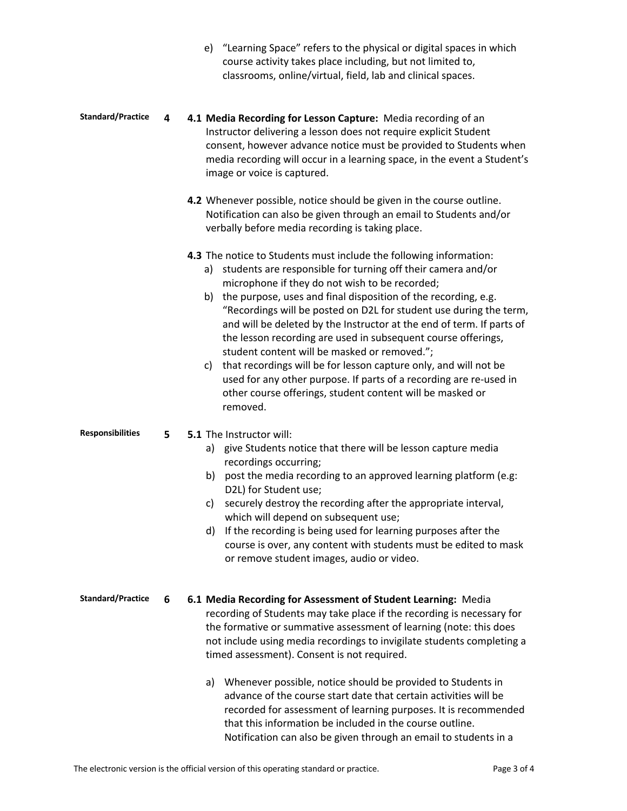|                          |   | e) "Learning Space" refers to the physical or digital spaces in which<br>course activity takes place including, but not limited to,<br>classrooms, online/virtual, field, lab and clinical spaces.                                                                                                                                                                                                                                                                                                                                                                                                                                                                                                                                                       |
|--------------------------|---|----------------------------------------------------------------------------------------------------------------------------------------------------------------------------------------------------------------------------------------------------------------------------------------------------------------------------------------------------------------------------------------------------------------------------------------------------------------------------------------------------------------------------------------------------------------------------------------------------------------------------------------------------------------------------------------------------------------------------------------------------------|
| <b>Standard/Practice</b> | 4 | 4.1 Media Recording for Lesson Capture: Media recording of an<br>Instructor delivering a lesson does not require explicit Student<br>consent, however advance notice must be provided to Students when<br>media recording will occur in a learning space, in the event a Student's<br>image or voice is captured.                                                                                                                                                                                                                                                                                                                                                                                                                                        |
|                          |   | 4.2 Whenever possible, notice should be given in the course outline.<br>Notification can also be given through an email to Students and/or<br>verbally before media recording is taking place.                                                                                                                                                                                                                                                                                                                                                                                                                                                                                                                                                           |
|                          |   | 4.3 The notice to Students must include the following information:<br>students are responsible for turning off their camera and/or<br>a)<br>microphone if they do not wish to be recorded;<br>b) the purpose, uses and final disposition of the recording, e.g.<br>"Recordings will be posted on D2L for student use during the term,<br>and will be deleted by the Instructor at the end of term. If parts of<br>the lesson recording are used in subsequent course offerings,<br>student content will be masked or removed.";<br>that recordings will be for lesson capture only, and will not be<br>c)<br>used for any other purpose. If parts of a recording are re-used in<br>other course offerings, student content will be masked or<br>removed. |
| <b>Responsibilities</b>  | 5 | 5.1 The Instructor will:<br>a) give Students notice that there will be lesson capture media<br>recordings occurring;<br>post the media recording to an approved learning platform (e.g:<br>b)<br>D2L) for Student use;<br>securely destroy the recording after the appropriate interval,<br>C)<br>which will depend on subsequent use;<br>If the recording is being used for learning purposes after the<br>d)<br>course is over, any content with students must be edited to mask<br>or remove student images, audio or video.                                                                                                                                                                                                                          |
| <b>Standard/Practice</b> | 6 | 6.1 Media Recording for Assessment of Student Learning: Media<br>recording of Students may take place if the recording is necessary for<br>the formative or summative assessment of learning (note: this does<br>not include using media recordings to invigilate students completing a<br>timed assessment). Consent is not required.<br>a) Whenever possible, notice should be provided to Students in<br>advance of the course start date that certain activities will be<br>recorded for assessment of learning purposes. It is recommended<br>that this information be included in the course outline.<br>Notification can also be given through an email to students in a                                                                          |